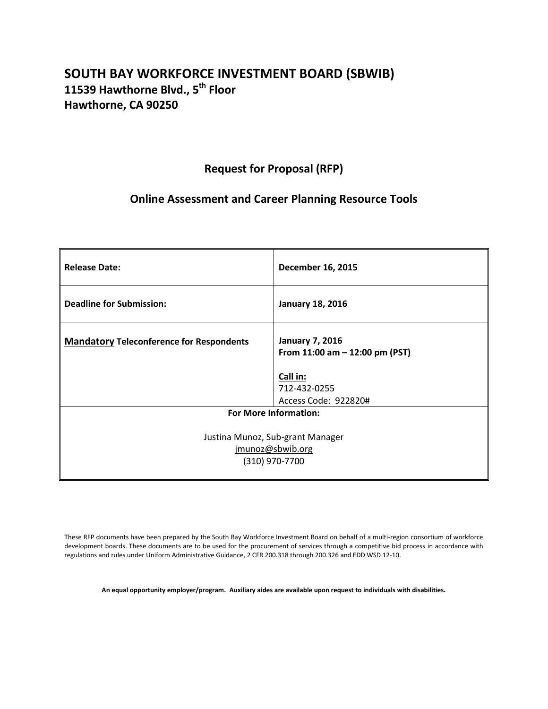# **SOUTH BAY WORKFORCE INVESTMENT BOARD (SBWIB) 11539 Hawthorne Blvd., 5th Floor Hawthorne, CA 90250**

# **Request for Proposal (RFP)**

# **Online Assessment and Career Planning Resource Tools**

| <b>Release Date:</b>                            | <b>December 16, 2015</b>                                    |  |
|-------------------------------------------------|-------------------------------------------------------------|--|
| <b>Deadline for Submission:</b>                 | <b>January 18, 2016</b>                                     |  |
| <b>Mandatory Teleconference for Respondents</b> | <b>January 7, 2016</b><br>From $11:00$ am $-12:00$ pm (PST) |  |
|                                                 | Call in:                                                    |  |
|                                                 | 712-432-0255                                                |  |
|                                                 | Access Code: 922820#                                        |  |
|                                                 | <b>For More Information:</b>                                |  |
|                                                 |                                                             |  |
| Justina Munoz, Sub-grant Manager                |                                                             |  |
| jmunoz@sbwib.org                                |                                                             |  |
| (310) 970-7700                                  |                                                             |  |
|                                                 |                                                             |  |

These RFP documents have been prepared by the South Bay Workforce Investment Board on behalf of a multi-region consortium of workforce development boards. These documents are to be used for the procurement of services through a competitive bid process in accordance with regulations and rules under Uniform Administrative Guidance, 2 CFR 200.318 through 200.326 and EDD WSD 12-10.

**An equal opportunity employer/program. Auxiliary aides are available upon request to individuals with disabilities.**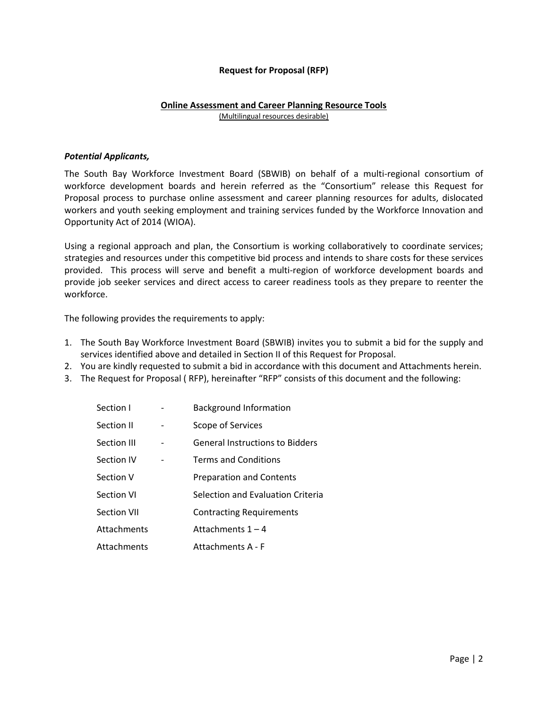## **Request for Proposal (RFP)**

### **Online Assessment and Career Planning Resource Tools** (Multilingual resources desirable)

### *Potential Applicants,*

The South Bay Workforce Investment Board (SBWIB) on behalf of a multi-regional consortium of workforce development boards and herein referred as the "Consortium" release this Request for Proposal process to purchase online assessment and career planning resources for adults, dislocated workers and youth seeking employment and training services funded by the Workforce Innovation and Opportunity Act of 2014 (WIOA).

Using a regional approach and plan, the Consortium is working collaboratively to coordinate services; strategies and resources under this competitive bid process and intends to share costs for these services provided. This process will serve and benefit a multi-region of workforce development boards and provide job seeker services and direct access to career readiness tools as they prepare to reenter the workforce.

The following provides the requirements to apply:

- 1. The South Bay Workforce Investment Board (SBWIB) invites you to submit a bid for the supply and services identified above and detailed in Section II of this Request for Proposal.
- 2. You are kindly requested to submit a bid in accordance with this document and Attachments herein.
- 3. The Request for Proposal ( RFP), hereinafter "RFP" consists of this document and the following:

| Section I   | <b>Background Information</b>          |
|-------------|----------------------------------------|
| Section II  | Scope of Services                      |
| Section III | <b>General Instructions to Bidders</b> |
| Section IV  | <b>Terms and Conditions</b>            |
| Section V   | <b>Preparation and Contents</b>        |
| Section VI  | Selection and Evaluation Criteria      |
| Section VII | <b>Contracting Requirements</b>        |
| Attachments | Attachments $1 - 4$                    |
| Attachments | Attachments A - F                      |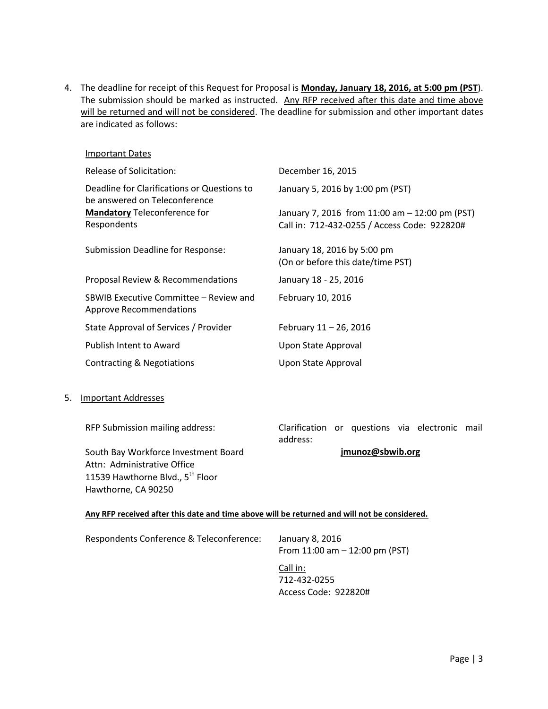4. The deadline for receipt of this Request for Proposal is **Monday, January 18, 2016, at 5:00 pm (PST**). The submission should be marked as instructed. Any RFP received after this date and time above will be returned and will not be considered. The deadline for submission and other important dates are indicated as follows:

| Important Dates                                                              |                                                                                                |
|------------------------------------------------------------------------------|------------------------------------------------------------------------------------------------|
| Release of Solicitation:                                                     | December 16, 2015                                                                              |
| Deadline for Clarifications or Questions to<br>be answered on Teleconference | January 5, 2016 by 1:00 pm (PST)                                                               |
| <b>Mandatory Teleconference for</b><br>Respondents                           | January 7, 2016 from 11:00 am - 12:00 pm (PST)<br>Call in: 712-432-0255 / Access Code: 922820# |
| Submission Deadline for Response:                                            | January 18, 2016 by 5:00 pm<br>(On or before this date/time PST)                               |
| Proposal Review & Recommendations                                            | January 18 - 25, 2016                                                                          |
| SBWIB Executive Committee – Review and<br>Approve Recommendations            | February 10, 2016                                                                              |
| State Approval of Services / Provider                                        | February 11 - 26, 2016                                                                         |
| Publish Intent to Award                                                      | Upon State Approval                                                                            |
| Contracting & Negotiations                                                   | Upon State Approval                                                                            |
|                                                                              |                                                                                                |

5. Important Addresses

RFP Submission mailing address:

Clarification or questions via electronic mail address:

**[jmunoz@sbwib.org](mailto:jmunoz@sbwib.org)**

South Bay Workforce Investment Board Attn: Administrative Office 11539 Hawthorne Blvd., 5<sup>th</sup> Floor Hawthorne, CA 90250

#### **Any RFP received after this date and time above will be returned and will not be considered.**

| Respondents Conference & Teleconference: | January 8, 2016                   |
|------------------------------------------|-----------------------------------|
|                                          | From $11:00$ am $-12:00$ pm (PST) |
|                                          |                                   |

Call in: 712-432-0255 Access Code: 922820#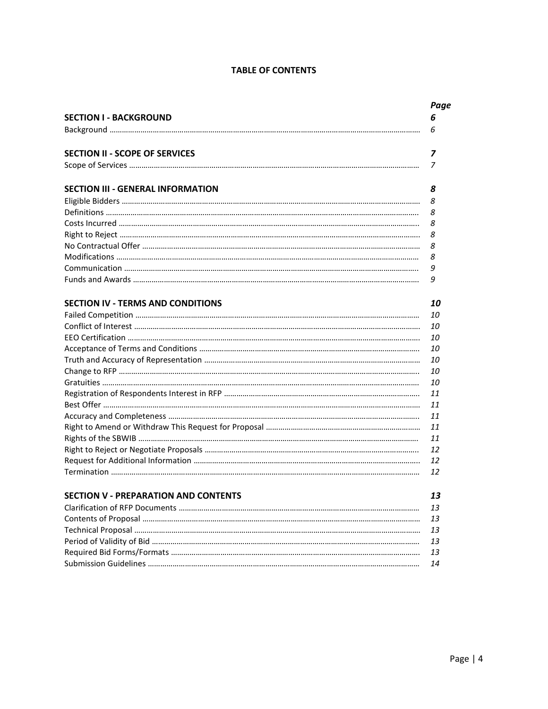# **TABLE OF CONTENTS**

| <b>SECTION I - BACKGROUND</b>               | 6  |
|---------------------------------------------|----|
|                                             | 6  |
| <b>SECTION II - SCOPE OF SERVICES</b>       | 7  |
|                                             | 7  |
| <b>SECTION III - GENERAL INFORMATION</b>    | 8  |
|                                             | 8  |
|                                             | 8  |
|                                             | 8  |
|                                             | 8  |
|                                             | 8  |
|                                             | 8  |
|                                             | 9  |
|                                             | 9  |
| <b>SECTION IV - TERMS AND CONDITIONS</b>    | 10 |
|                                             | 10 |
|                                             | 10 |
|                                             | 10 |
|                                             | 10 |
|                                             | 10 |
|                                             | 10 |
|                                             | 10 |
|                                             | 11 |
|                                             | 11 |
|                                             | 11 |
|                                             | 11 |
|                                             | 11 |
|                                             | 12 |
|                                             | 12 |
|                                             | 12 |
| <b>SECTION V - PREPARATION AND CONTENTS</b> | 13 |
|                                             | 13 |
|                                             | 13 |
|                                             | 13 |
|                                             | 13 |
|                                             | 13 |
|                                             | 14 |
|                                             |    |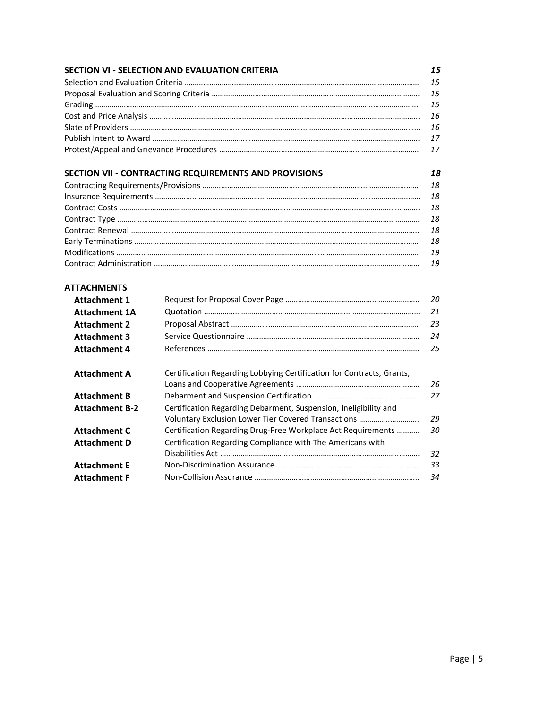|                       | <b>SECTION VI - SELECTION AND EVALUATION CRITERIA</b>                                                                   | 15 |
|-----------------------|-------------------------------------------------------------------------------------------------------------------------|----|
|                       |                                                                                                                         | 15 |
|                       |                                                                                                                         | 15 |
|                       |                                                                                                                         | 15 |
|                       |                                                                                                                         | 16 |
|                       |                                                                                                                         | 16 |
|                       |                                                                                                                         | 17 |
|                       |                                                                                                                         | 17 |
|                       | SECTION VII - CONTRACTING REQUIREMENTS AND PROVISIONS                                                                   | 18 |
|                       |                                                                                                                         | 18 |
|                       |                                                                                                                         | 18 |
|                       |                                                                                                                         | 18 |
|                       |                                                                                                                         | 18 |
|                       |                                                                                                                         | 18 |
|                       |                                                                                                                         | 18 |
|                       |                                                                                                                         | 19 |
|                       |                                                                                                                         | 19 |
| <b>ATTACHMENTS</b>    |                                                                                                                         |    |
| <b>Attachment 1</b>   |                                                                                                                         | 20 |
| <b>Attachment 1A</b>  |                                                                                                                         | 21 |
| <b>Attachment 2</b>   |                                                                                                                         | 23 |
| <b>Attachment 3</b>   |                                                                                                                         | 24 |
| <b>Attachment 4</b>   |                                                                                                                         | 25 |
|                       | Certification Regarding Lobbying Certification for Contracts, Grants,                                                   |    |
| <b>Attachment A</b>   |                                                                                                                         | 26 |
| <b>Attachment B</b>   |                                                                                                                         | 27 |
|                       |                                                                                                                         |    |
| <b>Attachment B-2</b> | Certification Regarding Debarment, Suspension, Ineligibility and<br>Voluntary Exclusion Lower Tier Covered Transactions | 29 |
| <b>Attachment C</b>   | Certification Regarding Drug-Free Workplace Act Requirements                                                            | 30 |
| <b>Attachment D</b>   | Certification Regarding Compliance with The Americans with                                                              |    |
|                       |                                                                                                                         | 32 |
| <b>Attachment E</b>   |                                                                                                                         | 33 |
| <b>Attachment F</b>   |                                                                                                                         | 34 |
|                       |                                                                                                                         |    |
|                       |                                                                                                                         |    |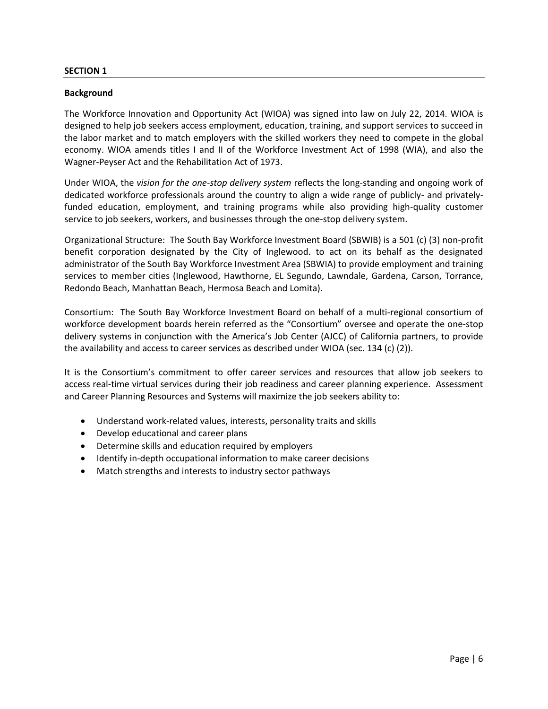## **SECTION 1**

## **Background**

The Workforce Innovation and Opportunity Act (WIOA) was signed into law on July 22, 2014. WIOA is designed to help job seekers access employment, education, training, and support services to succeed in the labor market and to match employers with the skilled workers they need to compete in the global economy. WIOA amends titles I and II of the Workforce Investment Act of 1998 (WIA), and also the Wagner-Peyser Act and the Rehabilitation Act of 1973.

Under WIOA, the *vision for the one-stop delivery system* reflects the long-standing and ongoing work of dedicated workforce professionals around the country to align a wide range of publicly- and privatelyfunded education, employment, and training programs while also providing high-quality customer service to job seekers, workers, and businesses through the one-stop delivery system.

Organizational Structure: The South Bay Workforce Investment Board (SBWIB) is a 501 (c) (3) non-profit benefit corporation designated by the City of Inglewood. to act on its behalf as the designated administrator of the South Bay Workforce Investment Area (SBWIA) to provide employment and training services to member cities (Inglewood, Hawthorne, EL Segundo, Lawndale, Gardena, Carson, Torrance, Redondo Beach, Manhattan Beach, Hermosa Beach and Lomita).

Consortium: The South Bay Workforce Investment Board on behalf of a multi-regional consortium of workforce development boards herein referred as the "Consortium" oversee and operate the one-stop delivery systems in conjunction with the America's Job Center (AJCC) of California partners, to provide the availability and access to career services as described under WIOA (sec. 134 (c) (2)).

It is the Consortium's commitment to offer career services and resources that allow job seekers to access real-time virtual services during their job readiness and career planning experience. Assessment and Career Planning Resources and Systems will maximize the job seekers ability to:

- Understand work-related values, interests, personality traits and skills
- Develop educational and career plans
- Determine skills and education required by employers
- Identify in-depth occupational information to make career decisions
- Match strengths and interests to industry sector pathways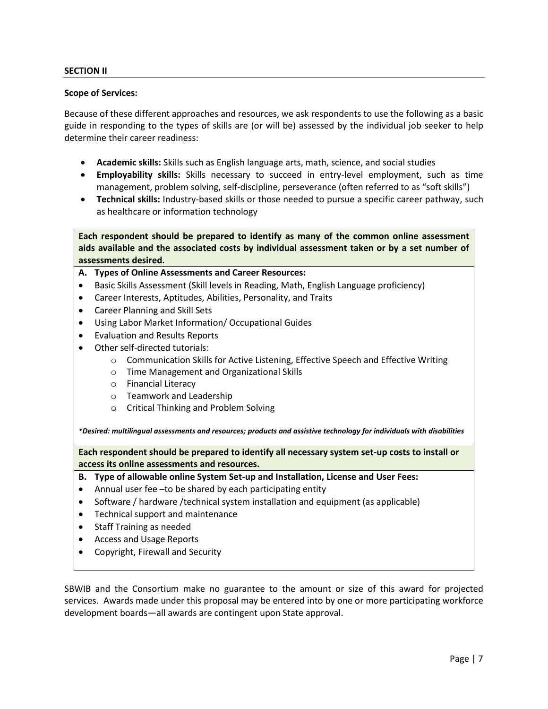## **SECTION II**

#### **Scope of Services:**

Because of these different approaches and resources, we ask respondents to use the following as a basic guide in responding to the types of skills are (or will be) assessed by the individual job seeker to help determine their career readiness:

- **Academic skills:** Skills such as English language arts, math, science, and social studies
- **Employability skills:** Skills necessary to succeed in entry-level employment, such as time management, problem solving, self-discipline, perseverance (often referred to as "soft skills")
- **Technical skills:** Industry-based skills or those needed to pursue a specific career pathway, such as healthcare or information technology

**Each respondent should be prepared to identify as many of the common online assessment aids available and the associated costs by individual assessment taken or by a set number of assessments desired.**

### **A. Types of Online Assessments and Career Resources:**

- Basic Skills Assessment (Skill levels in Reading, Math, English Language proficiency)
- Career Interests, Aptitudes, Abilities, Personality, and Traits
- Career Planning and Skill Sets
- Using Labor Market Information/ Occupational Guides
- Evaluation and Results Reports
- Other self-directed tutorials:
	- $\circ$  Communication Skills for Active Listening, Effective Speech and Effective Writing
	- o Time Management and Organizational Skills
	- o Financial Literacy
	- o Teamwork and Leadership
	- o Critical Thinking and Problem Solving

*\*Desired: multilingual assessments and resources; products and assistive technology for individuals with disabilities*

**Each respondent should be prepared to identify all necessary system set-up costs to install or access its online assessments and resources.** 

- **B. Type of allowable online System Set-up and Installation, License and User Fees:**
- Annual user fee –to be shared by each participating entity
- Software / hardware /technical system installation and equipment (as applicable)
- Technical support and maintenance
- Staff Training as needed
- Access and Usage Reports
- Copyright, Firewall and Security

SBWIB and the Consortium make no guarantee to the amount or size of this award for projected services. Awards made under this proposal may be entered into by one or more participating workforce development boards—all awards are contingent upon State approval.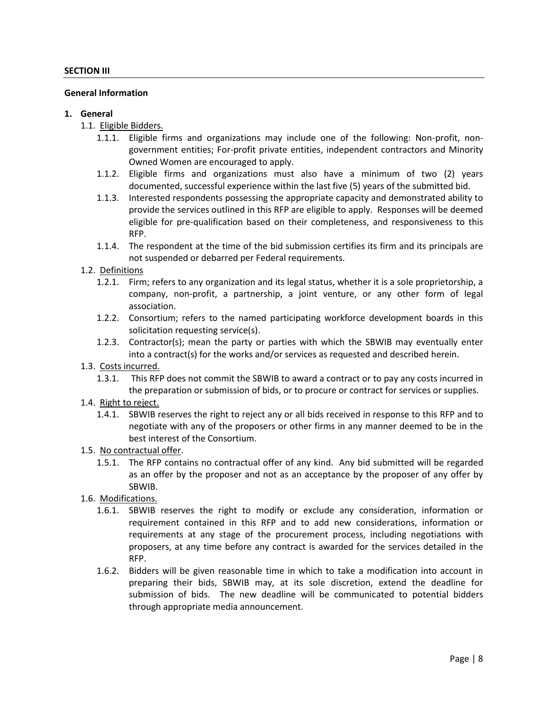### **General Information**

#### **1. General**

- 1.1. Eligible Bidders.
	- 1.1.1. Eligible firms and organizations may include one of the following: Non-profit, nongovernment entities; For-profit private entities, independent contractors and Minority Owned Women are encouraged to apply.
	- 1.1.2. Eligible firms and organizations must also have a minimum of two (2) years documented, successful experience within the last five (5) years of the submitted bid.
	- 1.1.3. Interested respondents possessing the appropriate capacity and demonstrated ability to provide the services outlined in this RFP are eligible to apply. Responses will be deemed eligible for pre-qualification based on their completeness, and responsiveness to this RFP.
	- 1.1.4. The respondent at the time of the bid submission certifies its firm and its principals are not suspended or debarred per Federal requirements.

## 1.2. Definitions

- 1.2.1. Firm; refers to any organization and its legal status, whether it is a sole proprietorship, a company, non-profit, a partnership, a joint venture, or any other form of legal association.
- 1.2.2. Consortium; refers to the named participating workforce development boards in this solicitation requesting service(s).
- 1.2.3. Contractor(s); mean the party or parties with which the SBWIB may eventually enter into a contract(s) for the works and/or services as requested and described herein.
- 1.3. Costs incurred.
	- 1.3.1. This RFP does not commit the SBWIB to award a contract or to pay any costs incurred in the preparation or submission of bids, or to procure or contract for services or supplies.
- 1.4. Right to reject.
	- 1.4.1. SBWIB reserves the right to reject any or all bids received in response to this RFP and to negotiate with any of the proposers or other firms in any manner deemed to be in the best interest of the Consortium.
- 1.5. No contractual offer.
	- 1.5.1. The RFP contains no contractual offer of any kind. Any bid submitted will be regarded as an offer by the proposer and not as an acceptance by the proposer of any offer by SBWIB.
- 1.6. Modifications.
	- 1.6.1. SBWIB reserves the right to modify or exclude any consideration, information or requirement contained in this RFP and to add new considerations, information or requirements at any stage of the procurement process, including negotiations with proposers, at any time before any contract is awarded for the services detailed in the RFP.
	- 1.6.2. Bidders will be given reasonable time in which to take a modification into account in preparing their bids, SBWIB may, at its sole discretion, extend the deadline for submission of bids. The new deadline will be communicated to potential bidders through appropriate media announcement.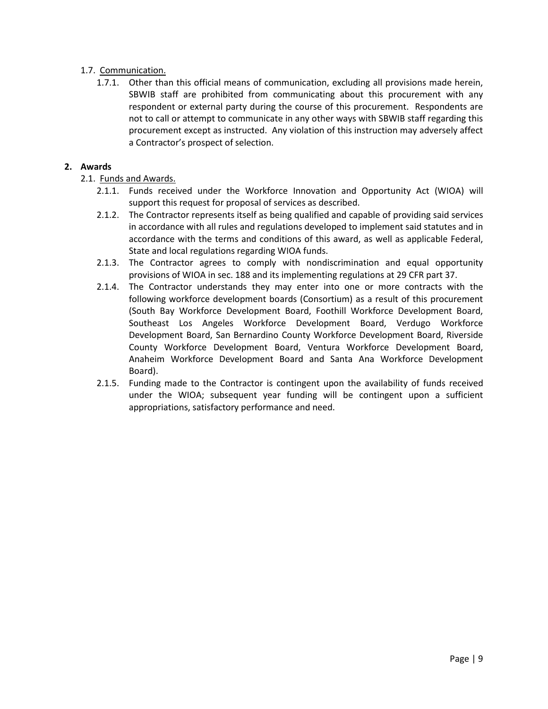# 1.7. Communication.

1.7.1. Other than this official means of communication, excluding all provisions made herein, SBWIB staff are prohibited from communicating about this procurement with any respondent or external party during the course of this procurement. Respondents are not to call or attempt to communicate in any other ways with SBWIB staff regarding this procurement except as instructed. Any violation of this instruction may adversely affect a Contractor's prospect of selection.

# **2. Awards**

- 2.1. Funds and Awards.
	- 2.1.1. Funds received under the Workforce Innovation and Opportunity Act (WIOA) will support this request for proposal of services as described.
	- 2.1.2. The Contractor represents itself as being qualified and capable of providing said services in accordance with all rules and regulations developed to implement said statutes and in accordance with the terms and conditions of this award, as well as applicable Federal, State and local regulations regarding WIOA funds.
	- 2.1.3. The Contractor agrees to comply with nondiscrimination and equal opportunity provisions of WIOA in sec. 188 and its implementing regulations at 29 CFR part 37.
	- 2.1.4. The Contractor understands they may enter into one or more contracts with the following workforce development boards (Consortium) as a result of this procurement (South Bay Workforce Development Board, Foothill Workforce Development Board, Southeast Los Angeles Workforce Development Board, Verdugo Workforce Development Board, San Bernardino County Workforce Development Board, Riverside County Workforce Development Board, Ventura Workforce Development Board, Anaheim Workforce Development Board and Santa Ana Workforce Development Board).
	- 2.1.5. Funding made to the Contractor is contingent upon the availability of funds received under the WIOA; subsequent year funding will be contingent upon a sufficient appropriations, satisfactory performance and need.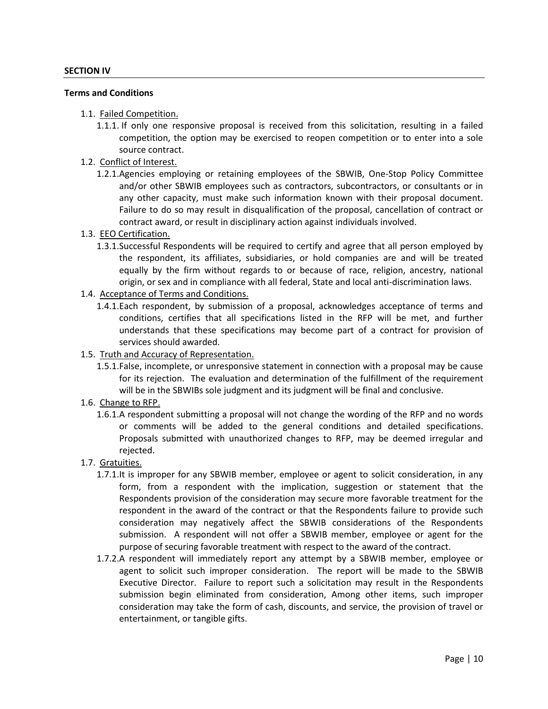#### **Terms and Conditions**

- 1.1. Failed Competition.
	- 1.1.1. If only one responsive proposal is received from this solicitation, resulting in a failed competition, the option may be exercised to reopen competition or to enter into a sole source contract.
- 1.2. Conflict of Interest.
	- 1.2.1.Agencies employing or retaining employees of the SBWIB, One-Stop Policy Committee and/or other SBWIB employees such as contractors, subcontractors, or consultants or in any other capacity, must make such information known with their proposal document. Failure to do so may result in disqualification of the proposal, cancellation of contract or contract award, or result in disciplinary action against individuals involved.
- 1.3. EEO Certification.
	- 1.3.1.Successful Respondents will be required to certify and agree that all person employed by the respondent, its affiliates, subsidiaries, or hold companies are and will be treated equally by the firm without regards to or because of race, religion, ancestry, national origin, or sex and in compliance with all federal, State and local anti-discrimination laws.
- 1.4. Acceptance of Terms and Conditions.
	- 1.4.1.Each respondent, by submission of a proposal, acknowledges acceptance of terms and conditions, certifies that all specifications listed in the RFP will be met, and further understands that these specifications may become part of a contract for provision of services should awarded.
- 1.5. Truth and Accuracy of Representation.
	- 1.5.1.False, incomplete, or unresponsive statement in connection with a proposal may be cause for its rejection. The evaluation and determination of the fulfillment of the requirement will be in the SBWIBs sole judgment and its judgment will be final and conclusive.
- 1.6. Change to RFP.
	- 1.6.1.A respondent submitting a proposal will not change the wording of the RFP and no words or comments will be added to the general conditions and detailed specifications. Proposals submitted with unauthorized changes to RFP, may be deemed irregular and rejected.
- 1.7. Gratuities.
	- 1.7.1.It is improper for any SBWIB member, employee or agent to solicit consideration, in any form, from a respondent with the implication, suggestion or statement that the Respondents provision of the consideration may secure more favorable treatment for the respondent in the award of the contract or that the Respondents failure to provide such consideration may negatively affect the SBWIB considerations of the Respondents submission. A respondent will not offer a SBWIB member, employee or agent for the purpose of securing favorable treatment with respect to the award of the contract.
	- 1.7.2.A respondent will immediately report any attempt by a SBWIB member, employee or agent to solicit such improper consideration. The report will be made to the SBWIB Executive Director. Failure to report such a solicitation may result in the Respondents submission begin eliminated from consideration, Among other items, such improper consideration may take the form of cash, discounts, and service, the provision of travel or entertainment, or tangible gifts.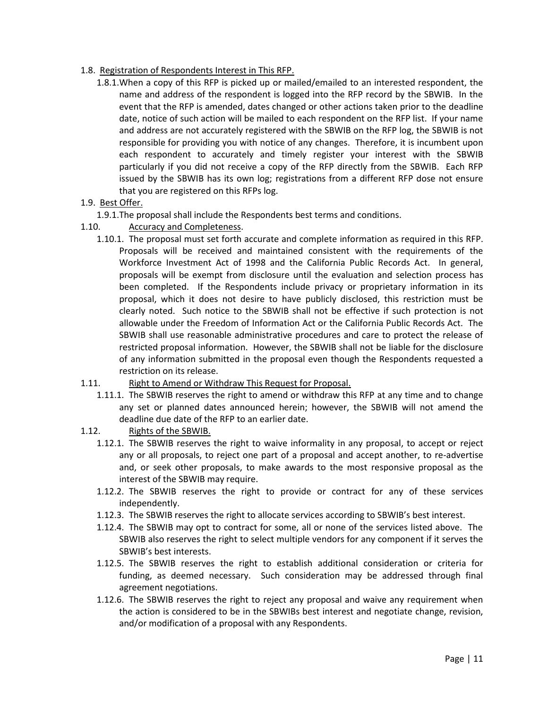- 1.8. Registration of Respondents Interest in This RFP.
	- 1.8.1.When a copy of this RFP is picked up or mailed/emailed to an interested respondent, the name and address of the respondent is logged into the RFP record by the SBWIB. In the event that the RFP is amended, dates changed or other actions taken prior to the deadline date, notice of such action will be mailed to each respondent on the RFP list. If your name and address are not accurately registered with the SBWIB on the RFP log, the SBWIB is not responsible for providing you with notice of any changes. Therefore, it is incumbent upon each respondent to accurately and timely register your interest with the SBWIB particularly if you did not receive a copy of the RFP directly from the SBWIB. Each RFP issued by the SBWIB has its own log; registrations from a different RFP dose not ensure that you are registered on this RFPs log.
- 1.9. Best Offer.
	- 1.9.1.The proposal shall include the Respondents best terms and conditions.
- 1.10. Accuracy and Completeness.
	- 1.10.1. The proposal must set forth accurate and complete information as required in this RFP. Proposals will be received and maintained consistent with the requirements of the Workforce Investment Act of 1998 and the California Public Records Act. In general, proposals will be exempt from disclosure until the evaluation and selection process has been completed. If the Respondents include privacy or proprietary information in its proposal, which it does not desire to have publicly disclosed, this restriction must be clearly noted. Such notice to the SBWIB shall not be effective if such protection is not allowable under the Freedom of Information Act or the California Public Records Act. The SBWIB shall use reasonable administrative procedures and care to protect the release of restricted proposal information. However, the SBWIB shall not be liable for the disclosure of any information submitted in the proposal even though the Respondents requested a restriction on its release.

## 1.11. Right to Amend or Withdraw This Request for Proposal.

- 1.11.1. The SBWIB reserves the right to amend or withdraw this RFP at any time and to change any set or planned dates announced herein; however, the SBWIB will not amend the deadline due date of the RFP to an earlier date.
- 1.12. Rights of the SBWIB.
	- 1.12.1. The SBWIB reserves the right to waive informality in any proposal, to accept or reject any or all proposals, to reject one part of a proposal and accept another, to re-advertise and, or seek other proposals, to make awards to the most responsive proposal as the interest of the SBWIB may require.
	- 1.12.2. The SBWIB reserves the right to provide or contract for any of these services independently.
	- 1.12.3. The SBWIB reserves the right to allocate services according to SBWIB's best interest.
	- 1.12.4. The SBWIB may opt to contract for some, all or none of the services listed above. The SBWIB also reserves the right to select multiple vendors for any component if it serves the SBWIB's best interests.
	- 1.12.5. The SBWIB reserves the right to establish additional consideration or criteria for funding, as deemed necessary. Such consideration may be addressed through final agreement negotiations.
	- 1.12.6. The SBWIB reserves the right to reject any proposal and waive any requirement when the action is considered to be in the SBWIBs best interest and negotiate change, revision, and/or modification of a proposal with any Respondents.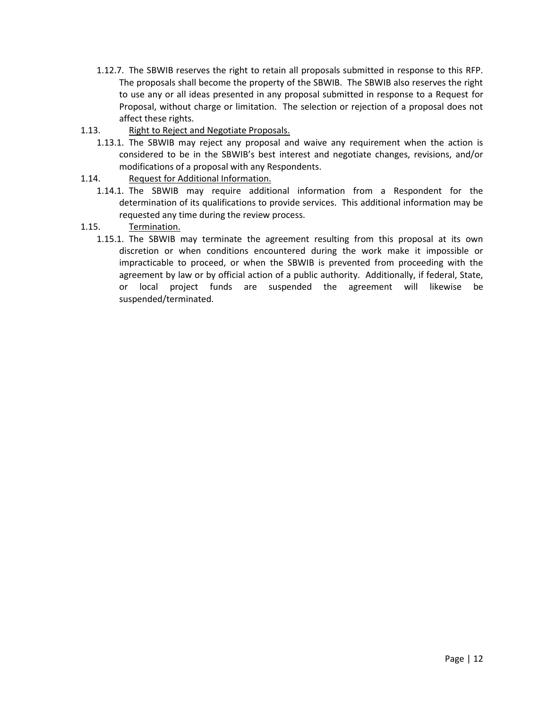- 1.12.7. The SBWIB reserves the right to retain all proposals submitted in response to this RFP. The proposals shall become the property of the SBWIB. The SBWIB also reserves the right to use any or all ideas presented in any proposal submitted in response to a Request for Proposal, without charge or limitation. The selection or rejection of a proposal does not affect these rights.
- 1.13. Right to Reject and Negotiate Proposals.
	- 1.13.1. The SBWIB may reject any proposal and waive any requirement when the action is considered to be in the SBWIB's best interest and negotiate changes, revisions, and/or modifications of a proposal with any Respondents.
- 1.14. Request for Additional Information.
	- 1.14.1. The SBWIB may require additional information from a Respondent for the determination of its qualifications to provide services. This additional information may be requested any time during the review process.
- 1.15. Termination.
	- 1.15.1. The SBWIB may terminate the agreement resulting from this proposal at its own discretion or when conditions encountered during the work make it impossible or impracticable to proceed, or when the SBWIB is prevented from proceeding with the agreement by law or by official action of a public authority. Additionally, if federal, State, or local project funds are suspended the agreement will likewise be suspended/terminated.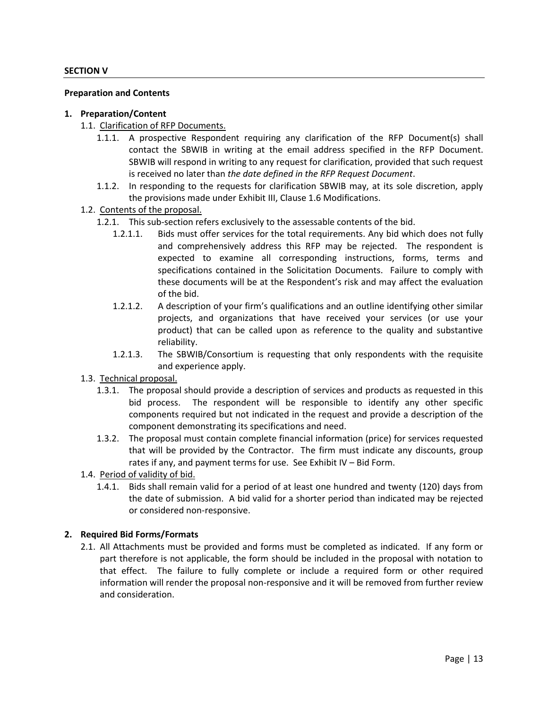## **SECTION V**

### **Preparation and Contents**

## **1. Preparation/Content**

- 1.1. Clarification of RFP Documents.
	- 1.1.1. A prospective Respondent requiring any clarification of the RFP Document(s) shall contact the SBWIB in writing at the email address specified in the RFP Document. SBWIB will respond in writing to any request for clarification, provided that such request is received no later than *the date defined in the RFP Request Document*.
	- 1.1.2. In responding to the requests for clarification SBWIB may, at its sole discretion, apply the provisions made under Exhibit III, Clause 1.6 Modifications.
- 1.2. Contents of the proposal.
	- 1.2.1. This sub-section refers exclusively to the assessable contents of the bid.
		- 1.2.1.1. Bids must offer services for the total requirements. Any bid which does not fully and comprehensively address this RFP may be rejected. The respondent is expected to examine all corresponding instructions, forms, terms and specifications contained in the Solicitation Documents. Failure to comply with these documents will be at the Respondent's risk and may affect the evaluation of the bid.
		- 1.2.1.2. A description of your firm's qualifications and an outline identifying other similar projects, and organizations that have received your services (or use your product) that can be called upon as reference to the quality and substantive reliability.
		- 1.2.1.3. The SBWIB/Consortium is requesting that only respondents with the requisite and experience apply.
- 1.3. Technical proposal.
	- 1.3.1. The proposal should provide a description of services and products as requested in this bid process. The respondent will be responsible to identify any other specific components required but not indicated in the request and provide a description of the component demonstrating its specifications and need.
	- 1.3.2. The proposal must contain complete financial information (price) for services requested that will be provided by the Contractor. The firm must indicate any discounts, group rates if any, and payment terms for use. See Exhibit IV – Bid Form.
- 1.4. Period of validity of bid.
	- 1.4.1. Bids shall remain valid for a period of at least one hundred and twenty (120) days from the date of submission. A bid valid for a shorter period than indicated may be rejected or considered non-responsive.

### **2. Required Bid Forms/Formats**

2.1. All Attachments must be provided and forms must be completed as indicated. If any form or part therefore is not applicable, the form should be included in the proposal with notation to that effect. The failure to fully complete or include a required form or other required information will render the proposal non-responsive and it will be removed from further review and consideration.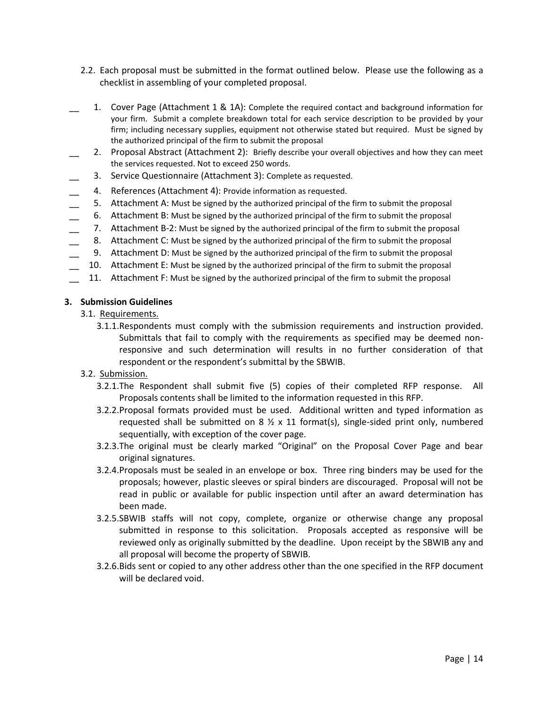- 2.2. Each proposal must be submitted in the format outlined below. Please use the following as a checklist in assembling of your completed proposal.
- 1. Cover Page (Attachment 1 & 1A): Complete the required contact and background information for your firm. Submit a complete breakdown total for each service description to be provided by your firm; including necessary supplies, equipment not otherwise stated but required. Must be signed by the authorized principal of the firm to submit the proposal
- 2. Proposal Abstract (Attachment 2): Briefly describe your overall objectives and how they can meet the services requested. Not to exceed 250 words.
- 3. Service Questionnaire (Attachment 3): Complete as requested.
- 4. References (Attachment 4): Provide information as requested.
- 5. Attachment A: Must be signed by the authorized principal of the firm to submit the proposal
- \_\_ 6. Attachment B: Must be signed by the authorized principal of the firm to submit the proposal
- 7. Attachment B-2: Must be signed by the authorized principal of the firm to submit the proposal
- 8. Attachment C: Must be signed by the authorized principal of the firm to submit the proposal
- \_\_ 9. Attachment D: Must be signed by the authorized principal of the firm to submit the proposal
- 10. Attachment E: Must be signed by the authorized principal of the firm to submit the proposal
- 11. Attachment F: Must be signed by the authorized principal of the firm to submit the proposal

## **3. Submission Guidelines**

- 3.1. Requirements.
	- 3.1.1.Respondents must comply with the submission requirements and instruction provided. Submittals that fail to comply with the requirements as specified may be deemed nonresponsive and such determination will results in no further consideration of that respondent or the respondent's submittal by the SBWIB.
- 3.2. Submission.
	- 3.2.1.The Respondent shall submit five (5) copies of their completed RFP response. All Proposals contents shall be limited to the information requested in this RFP.
	- 3.2.2.Proposal formats provided must be used. Additional written and typed information as requested shall be submitted on 8  $\frac{1}{2}$  x 11 format(s), single-sided print only, numbered sequentially, with exception of the cover page.
	- 3.2.3.The original must be clearly marked "Original" on the Proposal Cover Page and bear original signatures.
	- 3.2.4.Proposals must be sealed in an envelope or box. Three ring binders may be used for the proposals; however, plastic sleeves or spiral binders are discouraged. Proposal will not be read in public or available for public inspection until after an award determination has been made.
	- 3.2.5.SBWIB staffs will not copy, complete, organize or otherwise change any proposal submitted in response to this solicitation. Proposals accepted as responsive will be reviewed only as originally submitted by the deadline. Upon receipt by the SBWIB any and all proposal will become the property of SBWIB.
	- 3.2.6.Bids sent or copied to any other address other than the one specified in the RFP document will be declared void.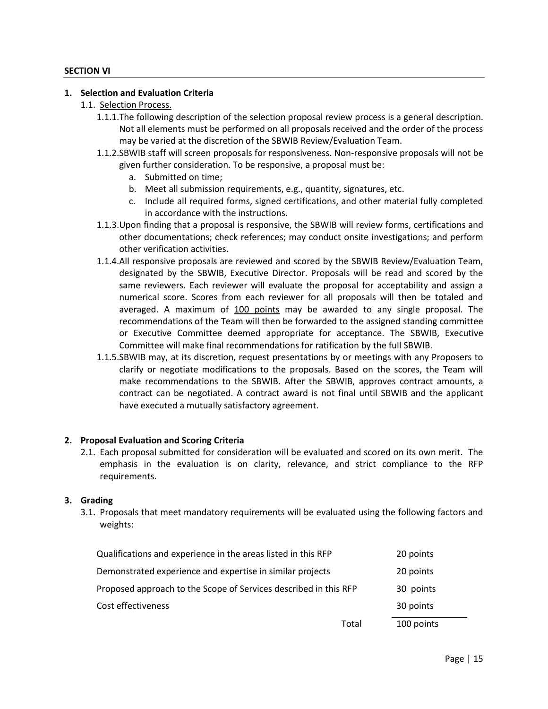## **SECTION VI**

### **1. Selection and Evaluation Criteria**

- 1.1. Selection Process.
	- 1.1.1.The following description of the selection proposal review process is a general description. Not all elements must be performed on all proposals received and the order of the process may be varied at the discretion of the SBWIB Review/Evaluation Team.
	- 1.1.2.SBWIB staff will screen proposals for responsiveness. Non-responsive proposals will not be given further consideration. To be responsive, a proposal must be:
		- a. Submitted on time;
		- b. Meet all submission requirements, e.g., quantity, signatures, etc.
		- c. Include all required forms, signed certifications, and other material fully completed in accordance with the instructions.
	- 1.1.3.Upon finding that a proposal is responsive, the SBWIB will review forms, certifications and other documentations; check references; may conduct onsite investigations; and perform other verification activities.
	- 1.1.4.All responsive proposals are reviewed and scored by the SBWIB Review/Evaluation Team, designated by the SBWIB, Executive Director. Proposals will be read and scored by the same reviewers. Each reviewer will evaluate the proposal for acceptability and assign a numerical score. Scores from each reviewer for all proposals will then be totaled and averaged. A maximum of 100 points may be awarded to any single proposal. The recommendations of the Team will then be forwarded to the assigned standing committee or Executive Committee deemed appropriate for acceptance. The SBWIB, Executive Committee will make final recommendations for ratification by the full SBWIB.
	- 1.1.5.SBWIB may, at its discretion, request presentations by or meetings with any Proposers to clarify or negotiate modifications to the proposals. Based on the scores, the Team will make recommendations to the SBWIB. After the SBWIB, approves contract amounts, a contract can be negotiated. A contract award is not final until SBWIB and the applicant have executed a mutually satisfactory agreement.

### **2. Proposal Evaluation and Scoring Criteria**

2.1. Each proposal submitted for consideration will be evaluated and scored on its own merit. The emphasis in the evaluation is on clarity, relevance, and strict compliance to the RFP requirements.

### **3. Grading**

3.1. Proposals that meet mandatory requirements will be evaluated using the following factors and weights:

|                                                                  | Total | 100 points |
|------------------------------------------------------------------|-------|------------|
| Cost effectiveness                                               |       | 30 points  |
| Proposed approach to the Scope of Services described in this RFP |       | 30 points  |
| Demonstrated experience and expertise in similar projects        |       | 20 points  |
| Qualifications and experience in the areas listed in this RFP    |       | 20 points  |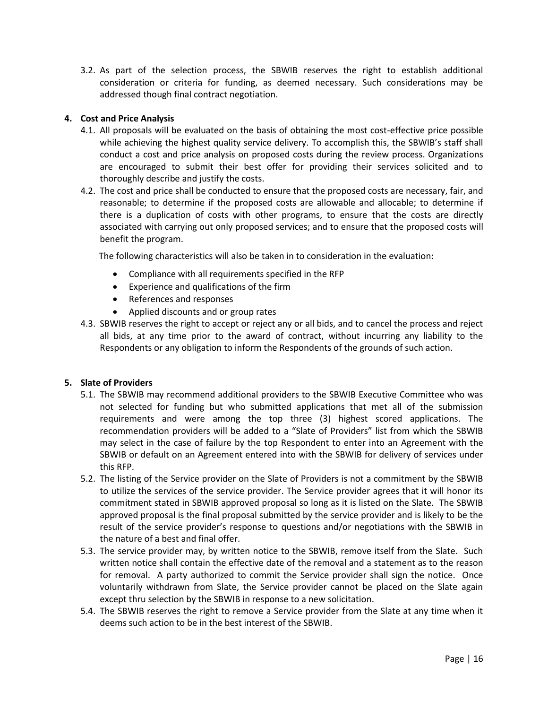3.2. As part of the selection process, the SBWIB reserves the right to establish additional consideration or criteria for funding, as deemed necessary. Such considerations may be addressed though final contract negotiation.

# **4. Cost and Price Analysis**

- 4.1. All proposals will be evaluated on the basis of obtaining the most cost-effective price possible while achieving the highest quality service delivery. To accomplish this, the SBWIB's staff shall conduct a cost and price analysis on proposed costs during the review process. Organizations are encouraged to submit their best offer for providing their services solicited and to thoroughly describe and justify the costs.
- 4.2. The cost and price shall be conducted to ensure that the proposed costs are necessary, fair, and reasonable; to determine if the proposed costs are allowable and allocable; to determine if there is a duplication of costs with other programs, to ensure that the costs are directly associated with carrying out only proposed services; and to ensure that the proposed costs will benefit the program.

The following characteristics will also be taken in to consideration in the evaluation:

- Compliance with all requirements specified in the RFP
- Experience and qualifications of the firm
- References and responses
- Applied discounts and or group rates
- 4.3. SBWIB reserves the right to accept or reject any or all bids, and to cancel the process and reject all bids, at any time prior to the award of contract, without incurring any liability to the Respondents or any obligation to inform the Respondents of the grounds of such action.

## **5. Slate of Providers**

- 5.1. The SBWIB may recommend additional providers to the SBWIB Executive Committee who was not selected for funding but who submitted applications that met all of the submission requirements and were among the top three (3) highest scored applications. The recommendation providers will be added to a "Slate of Providers" list from which the SBWIB may select in the case of failure by the top Respondent to enter into an Agreement with the SBWIB or default on an Agreement entered into with the SBWIB for delivery of services under this RFP.
- 5.2. The listing of the Service provider on the Slate of Providers is not a commitment by the SBWIB to utilize the services of the service provider. The Service provider agrees that it will honor its commitment stated in SBWIB approved proposal so long as it is listed on the Slate. The SBWIB approved proposal is the final proposal submitted by the service provider and is likely to be the result of the service provider's response to questions and/or negotiations with the SBWIB in the nature of a best and final offer.
- 5.3. The service provider may, by written notice to the SBWIB, remove itself from the Slate. Such written notice shall contain the effective date of the removal and a statement as to the reason for removal. A party authorized to commit the Service provider shall sign the notice. Once voluntarily withdrawn from Slate, the Service provider cannot be placed on the Slate again except thru selection by the SBWIB in response to a new solicitation.
- 5.4. The SBWIB reserves the right to remove a Service provider from the Slate at any time when it deems such action to be in the best interest of the SBWIB.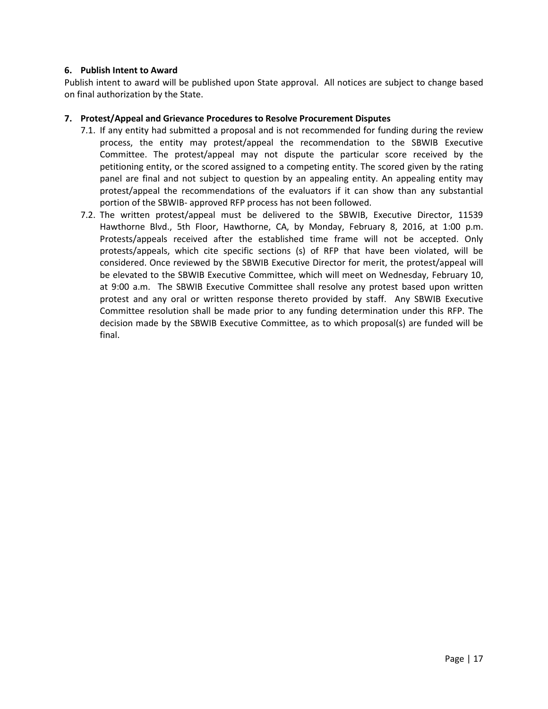## **6. Publish Intent to Award**

Publish intent to award will be published upon State approval. All notices are subject to change based on final authorization by the State.

## **7. Protest/Appeal and Grievance Procedures to Resolve Procurement Disputes**

- 7.1. If any entity had submitted a proposal and is not recommended for funding during the review process, the entity may protest/appeal the recommendation to the SBWIB Executive Committee. The protest/appeal may not dispute the particular score received by the petitioning entity, or the scored assigned to a competing entity. The scored given by the rating panel are final and not subject to question by an appealing entity. An appealing entity may protest/appeal the recommendations of the evaluators if it can show than any substantial portion of the SBWIB- approved RFP process has not been followed.
- 7.2. The written protest/appeal must be delivered to the SBWIB, Executive Director, 11539 Hawthorne Blvd., 5th Floor, Hawthorne, CA, by Monday, February 8, 2016, at 1:00 p.m. Protests/appeals received after the established time frame will not be accepted. Only protests/appeals, which cite specific sections (s) of RFP that have been violated, will be considered. Once reviewed by the SBWIB Executive Director for merit, the protest/appeal will be elevated to the SBWIB Executive Committee, which will meet on Wednesday, February 10, at 9:00 a.m. The SBWIB Executive Committee shall resolve any protest based upon written protest and any oral or written response thereto provided by staff. Any SBWIB Executive Committee resolution shall be made prior to any funding determination under this RFP. The decision made by the SBWIB Executive Committee, as to which proposal(s) are funded will be final.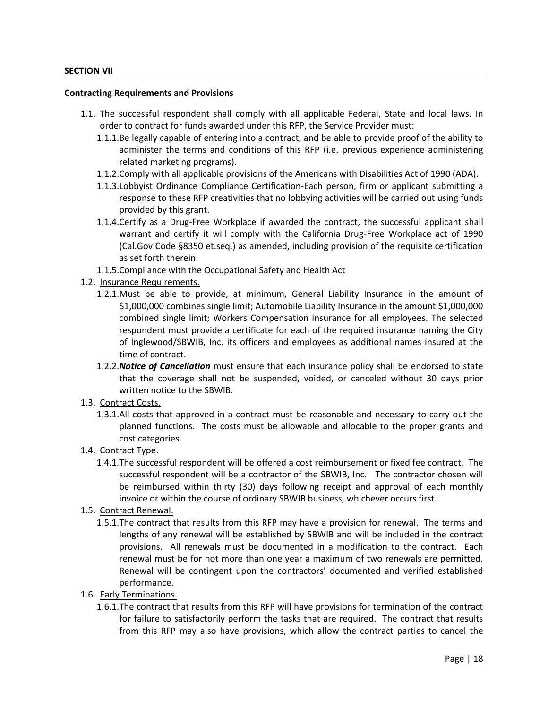#### **SECTION VII**

#### **Contracting Requirements and Provisions**

- 1.1. The successful respondent shall comply with all applicable Federal, State and local laws. In order to contract for funds awarded under this RFP, the Service Provider must:
	- 1.1.1.Be legally capable of entering into a contract, and be able to provide proof of the ability to administer the terms and conditions of this RFP (i.e. previous experience administering related marketing programs).
	- 1.1.2.Comply with all applicable provisions of the Americans with Disabilities Act of 1990 (ADA).
	- 1.1.3.Lobbyist Ordinance Compliance Certification-Each person, firm or applicant submitting a response to these RFP creativities that no lobbying activities will be carried out using funds provided by this grant.
	- 1.1.4.Certify as a Drug-Free Workplace if awarded the contract, the successful applicant shall warrant and certify it will comply with the California Drug-Free Workplace act of 1990 (Cal.Gov.Code §8350 et.seq.) as amended, including provision of the requisite certification as set forth therein.
	- 1.1.5.Compliance with the Occupational Safety and Health Act
- 1.2. Insurance Requirements.
	- 1.2.1.Must be able to provide, at minimum, General Liability Insurance in the amount of \$1,000,000 combines single limit; Automobile Liability Insurance in the amount \$1,000,000 combined single limit; Workers Compensation insurance for all employees. The selected respondent must provide a certificate for each of the required insurance naming the City of Inglewood/SBWIB, Inc. its officers and employees as additional names insured at the time of contract.
	- 1.2.2.*Notice of Cancellation* must ensure that each insurance policy shall be endorsed to state that the coverage shall not be suspended, voided, or canceled without 30 days prior written notice to the SBWIB.
- 1.3. Contract Costs.
	- 1.3.1.All costs that approved in a contract must be reasonable and necessary to carry out the planned functions. The costs must be allowable and allocable to the proper grants and cost categories.
- 1.4. Contract Type.
	- 1.4.1.The successful respondent will be offered a cost reimbursement or fixed fee contract. The successful respondent will be a contractor of the SBWIB, Inc. The contractor chosen will be reimbursed within thirty (30) days following receipt and approval of each monthly invoice or within the course of ordinary SBWIB business, whichever occurs first.
- 1.5. Contract Renewal.
	- 1.5.1.The contract that results from this RFP may have a provision for renewal. The terms and lengths of any renewal will be established by SBWIB and will be included in the contract provisions. All renewals must be documented in a modification to the contract. Each renewal must be for not more than one year a maximum of two renewals are permitted. Renewal will be contingent upon the contractors' documented and verified established performance.
- 1.6. Early Terminations.
	- 1.6.1.The contract that results from this RFP will have provisions for termination of the contract for failure to satisfactorily perform the tasks that are required. The contract that results from this RFP may also have provisions, which allow the contract parties to cancel the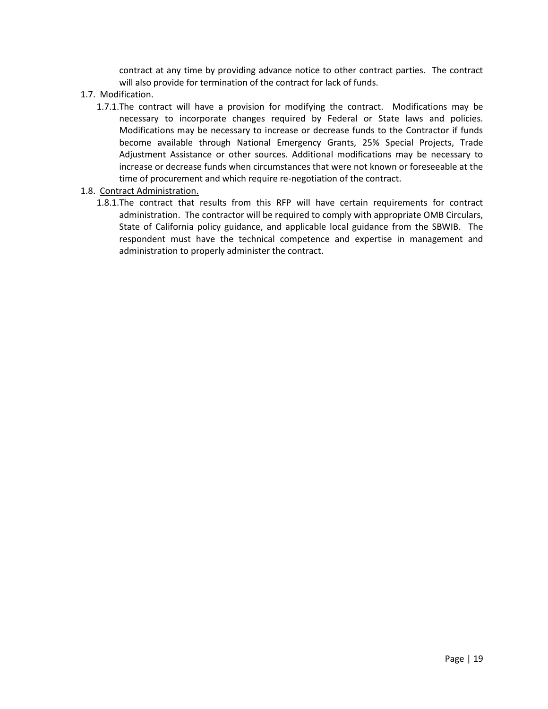contract at any time by providing advance notice to other contract parties. The contract will also provide for termination of the contract for lack of funds.

- 1.7. Modification.
	- 1.7.1.The contract will have a provision for modifying the contract. Modifications may be necessary to incorporate changes required by Federal or State laws and policies. Modifications may be necessary to increase or decrease funds to the Contractor if funds become available through National Emergency Grants, 25% Special Projects, Trade Adjustment Assistance or other sources. Additional modifications may be necessary to increase or decrease funds when circumstances that were not known or foreseeable at the time of procurement and which require re-negotiation of the contract.
- 1.8. Contract Administration.
	- 1.8.1.The contract that results from this RFP will have certain requirements for contract administration. The contractor will be required to comply with appropriate OMB Circulars, State of California policy guidance, and applicable local guidance from the SBWIB. The respondent must have the technical competence and expertise in management and administration to properly administer the contract.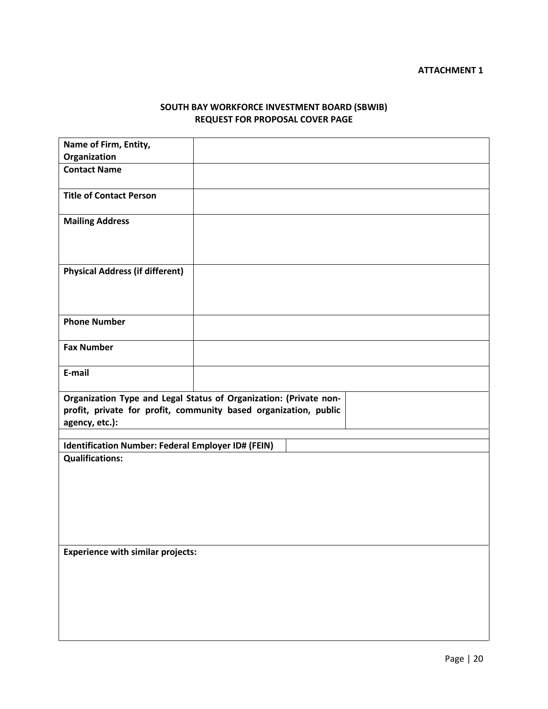# **SOUTH BAY WORKFORCE INVESTMENT BOARD (SBWIB) REQUEST FOR PROPOSAL COVER PAGE**

| Name of Firm, Entity,                                                                                                                                   |  |  |
|---------------------------------------------------------------------------------------------------------------------------------------------------------|--|--|
| Organization                                                                                                                                            |  |  |
| <b>Contact Name</b>                                                                                                                                     |  |  |
| <b>Title of Contact Person</b>                                                                                                                          |  |  |
| <b>Mailing Address</b>                                                                                                                                  |  |  |
| <b>Physical Address (if different)</b>                                                                                                                  |  |  |
| <b>Phone Number</b>                                                                                                                                     |  |  |
| <b>Fax Number</b>                                                                                                                                       |  |  |
| E-mail                                                                                                                                                  |  |  |
| Organization Type and Legal Status of Organization: (Private non-<br>profit, private for profit, community based organization, public<br>agency, etc.): |  |  |
| Identification Number: Federal Employer ID# (FEIN)                                                                                                      |  |  |
| <b>Qualifications:</b>                                                                                                                                  |  |  |
| <b>Experience with similar projects:</b>                                                                                                                |  |  |
|                                                                                                                                                         |  |  |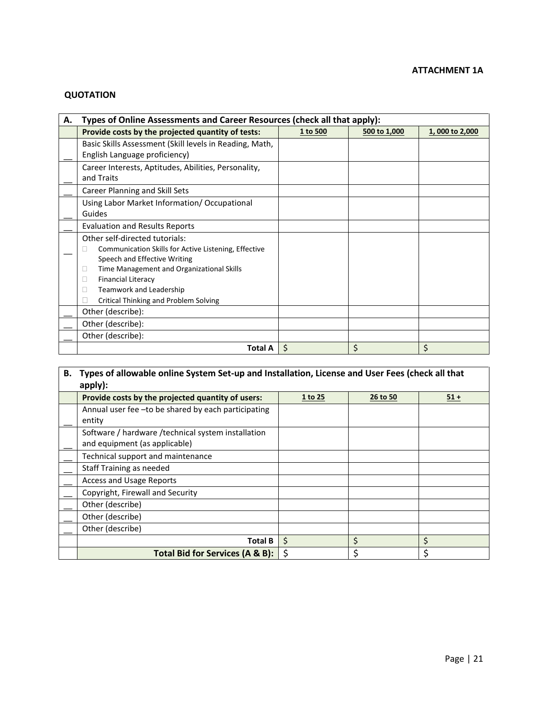# **ATTACHMENT 1A**

# **QUOTATION**

| А. | Types of Online Assessments and Career Resources (check all that apply): |          |              |                |
|----|--------------------------------------------------------------------------|----------|--------------|----------------|
|    | Provide costs by the projected quantity of tests:                        | 1 to 500 | 500 to 1,000 | 1,000 to 2,000 |
|    | Basic Skills Assessment (Skill levels in Reading, Math,                  |          |              |                |
|    | English Language proficiency)                                            |          |              |                |
|    | Career Interests, Aptitudes, Abilities, Personality,                     |          |              |                |
|    | and Traits                                                               |          |              |                |
|    | Career Planning and Skill Sets                                           |          |              |                |
|    | Using Labor Market Information/ Occupational                             |          |              |                |
|    | Guides                                                                   |          |              |                |
|    | Evaluation and Results Reports                                           |          |              |                |
|    | Other self-directed tutorials:                                           |          |              |                |
|    | Communication Skills for Active Listening, Effective<br>Ш                |          |              |                |
|    | Speech and Effective Writing                                             |          |              |                |
|    | Time Management and Organizational Skills<br>ш                           |          |              |                |
|    | <b>Financial Literacy</b>                                                |          |              |                |
|    | Teamwork and Leadership                                                  |          |              |                |
|    | Critical Thinking and Problem Solving                                    |          |              |                |
|    | Other (describe):                                                        |          |              |                |
|    | Other (describe):                                                        |          |              |                |
|    | Other (describe):                                                        |          |              |                |
|    | <b>Total A</b>                                                           | \$       | \$           | \$             |

| В. | Types of allowable online System Set-up and Installation, License and User Fees (check all that<br>apply): |         |          |        |
|----|------------------------------------------------------------------------------------------------------------|---------|----------|--------|
|    | Provide costs by the projected quantity of users:                                                          | 1 to 25 | 26 to 50 | $51 +$ |
|    | Annual user fee - to be shared by each participating<br>entity                                             |         |          |        |
|    | Software / hardware / technical system installation<br>and equipment (as applicable)                       |         |          |        |
|    | Technical support and maintenance                                                                          |         |          |        |
|    | Staff Training as needed                                                                                   |         |          |        |
|    | <b>Access and Usage Reports</b>                                                                            |         |          |        |
|    | Copyright, Firewall and Security                                                                           |         |          |        |
|    | Other (describe)                                                                                           |         |          |        |
|    | Other (describe)                                                                                           |         |          |        |
|    | Other (describe)                                                                                           |         |          |        |
|    | <b>Total B</b>                                                                                             | \$      | \$       | \$     |
|    | Total Bid for Services (A & B):                                                                            | Š.      | Ś        | Ś      |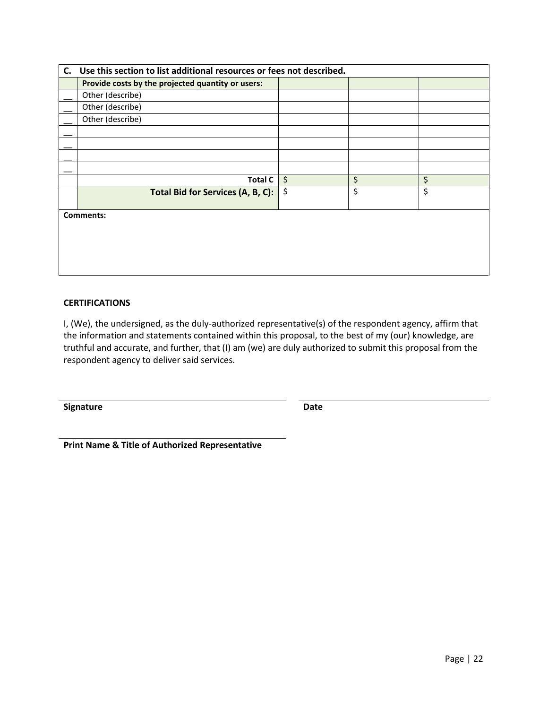| C. Use this section to list additional resources or fees not described. |         |    |    |
|-------------------------------------------------------------------------|---------|----|----|
| Provide costs by the projected quantity or users:                       |         |    |    |
| Other (describe)                                                        |         |    |    |
| Other (describe)                                                        |         |    |    |
| Other (describe)                                                        |         |    |    |
|                                                                         |         |    |    |
|                                                                         |         |    |    |
|                                                                         |         |    |    |
|                                                                         |         |    |    |
| Total C                                                                 | $\zeta$ | \$ | \$ |
| Total Bid for Services (A, B, C):                                       | \$      | \$ | \$ |
|                                                                         |         |    |    |
| <b>Comments:</b>                                                        |         |    |    |
|                                                                         |         |    |    |
|                                                                         |         |    |    |
|                                                                         |         |    |    |
|                                                                         |         |    |    |

## **CERTIFICATIONS**

I, (We), the undersigned, as the duly-authorized representative(s) of the respondent agency, affirm that the information and statements contained within this proposal, to the best of my (our) knowledge, are truthful and accurate, and further, that (I) am (we) are duly authorized to submit this proposal from the respondent agency to deliver said services.

**Signature Date**

**Print Name & Title of Authorized Representative**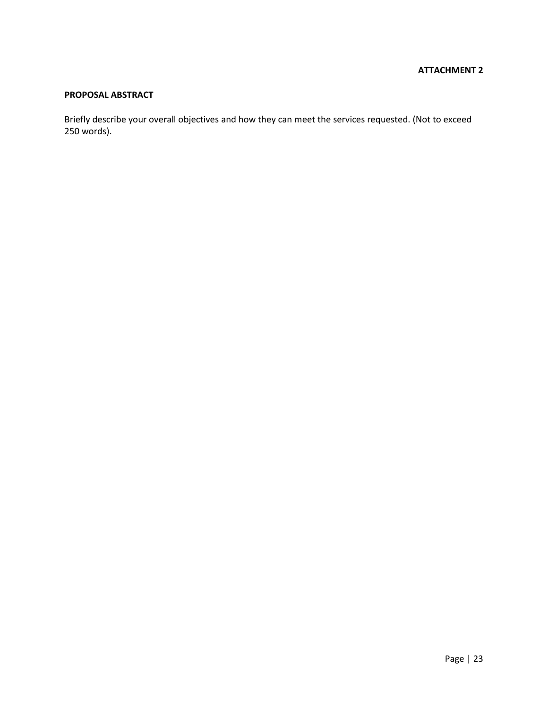# **ATTACHMENT 2**

# **PROPOSAL ABSTRACT**

Briefly describe your overall objectives and how they can meet the services requested. (Not to exceed 250 words).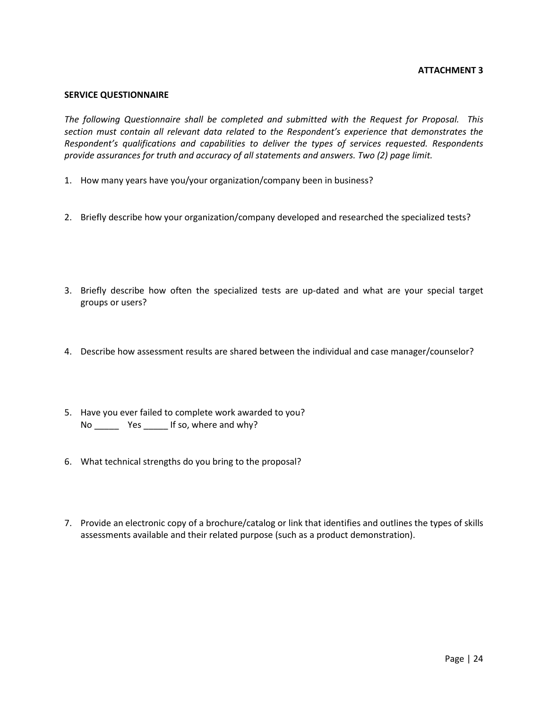## **ATTACHMENT 3**

#### **SERVICE QUESTIONNAIRE**

*The following Questionnaire shall be completed and submitted with the Request for Proposal. This section must contain all relevant data related to the Respondent's experience that demonstrates the Respondent's qualifications and capabilities to deliver the types of services requested. Respondents provide assurances for truth and accuracy of all statements and answers. Two (2) page limit.*

- 1. How many years have you/your organization/company been in business?
- 2. Briefly describe how your organization/company developed and researched the specialized tests?
- 3. Briefly describe how often the specialized tests are up-dated and what are your special target groups or users?
- 4. Describe how assessment results are shared between the individual and case manager/counselor?
- 5. Have you ever failed to complete work awarded to you? No \_\_\_\_\_\_\_\_ Yes \_\_\_\_\_\_ If so, where and why?
- 6. What technical strengths do you bring to the proposal?
- 7. Provide an electronic copy of a brochure/catalog or link that identifies and outlines the types of skills assessments available and their related purpose (such as a product demonstration).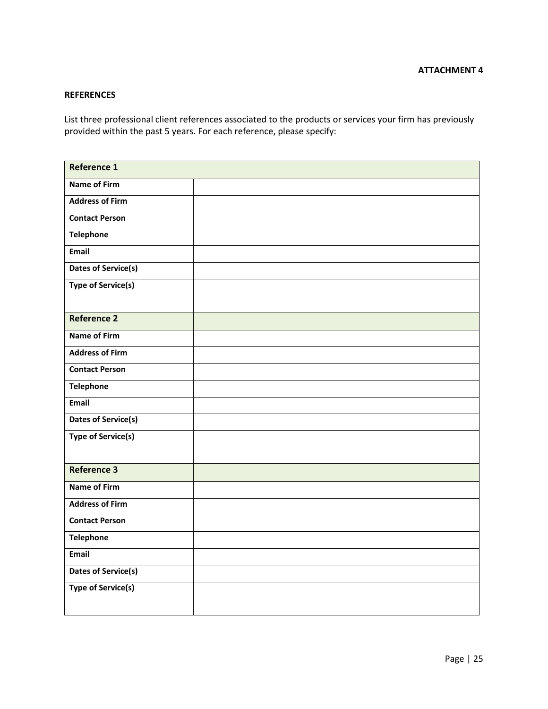## **REFERENCES**

List three professional client references associated to the products or services your firm has previously provided within the past 5 years. For each reference, please specify:

| Reference 1                |  |
|----------------------------|--|
| Name of Firm               |  |
| <b>Address of Firm</b>     |  |
| <b>Contact Person</b>      |  |
| <b>Telephone</b>           |  |
| Email                      |  |
| <b>Dates of Service(s)</b> |  |
| <b>Type of Service(s)</b>  |  |
| <b>Reference 2</b>         |  |
| <b>Name of Firm</b>        |  |
| <b>Address of Firm</b>     |  |
| <b>Contact Person</b>      |  |
| <b>Telephone</b>           |  |
| Email                      |  |
| <b>Dates of Service(s)</b> |  |
| <b>Type of Service(s)</b>  |  |
| Reference 3                |  |
| <b>Name of Firm</b>        |  |
| <b>Address of Firm</b>     |  |
| <b>Contact Person</b>      |  |
| <b>Telephone</b>           |  |
| Email                      |  |
| <b>Dates of Service(s)</b> |  |
| <b>Type of Service(s)</b>  |  |
|                            |  |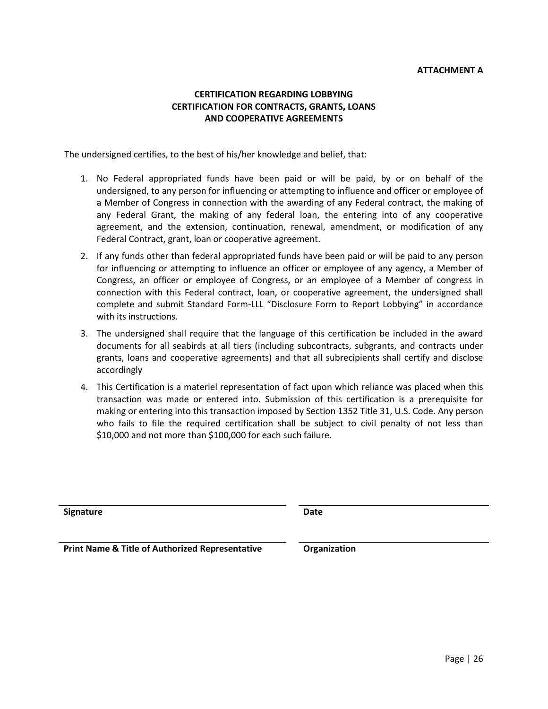# **CERTIFICATION REGARDING LOBBYING CERTIFICATION FOR CONTRACTS, GRANTS, LOANS AND COOPERATIVE AGREEMENTS**

The undersigned certifies, to the best of his/her knowledge and belief, that:

- 1. No Federal appropriated funds have been paid or will be paid, by or on behalf of the undersigned, to any person for influencing or attempting to influence and officer or employee of a Member of Congress in connection with the awarding of any Federal contract, the making of any Federal Grant, the making of any federal loan, the entering into of any cooperative agreement, and the extension, continuation, renewal, amendment, or modification of any Federal Contract, grant, loan or cooperative agreement.
- 2. If any funds other than federal appropriated funds have been paid or will be paid to any person for influencing or attempting to influence an officer or employee of any agency, a Member of Congress, an officer or employee of Congress, or an employee of a Member of congress in connection with this Federal contract, loan, or cooperative agreement, the undersigned shall complete and submit Standard Form-LLL "Disclosure Form to Report Lobbying" in accordance with its instructions.
- 3. The undersigned shall require that the language of this certification be included in the award documents for all seabirds at all tiers (including subcontracts, subgrants, and contracts under grants, loans and cooperative agreements) and that all subrecipients shall certify and disclose accordingly
- 4. This Certification is a materiel representation of fact upon which reliance was placed when this transaction was made or entered into. Submission of this certification is a prerequisite for making or entering into this transaction imposed by Section 1352 Title 31, U.S. Code. Any person who fails to file the required certification shall be subject to civil penalty of not less than \$10,000 and not more than \$100,000 for each such failure.

**Signature Date**

**Print Name & Title of Authorized Representative Conduction**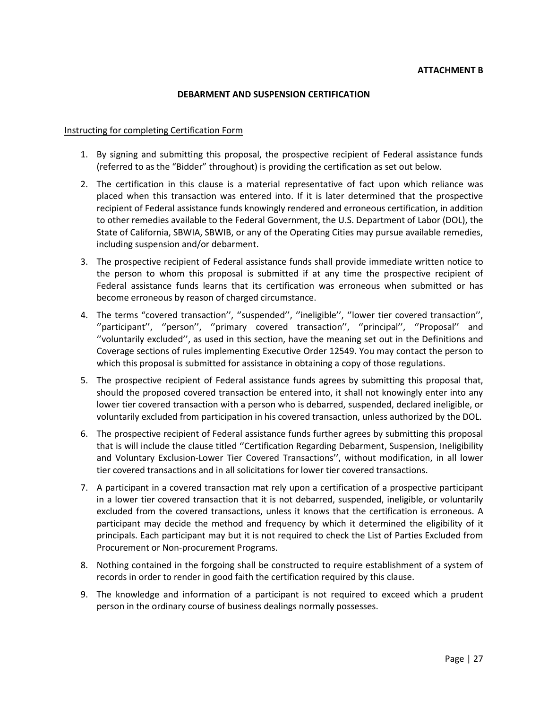#### **DEBARMENT AND SUSPENSION CERTIFICATION**

#### Instructing for completing Certification Form

- 1. By signing and submitting this proposal, the prospective recipient of Federal assistance funds (referred to as the "Bidder" throughout) is providing the certification as set out below.
- 2. The certification in this clause is a material representative of fact upon which reliance was placed when this transaction was entered into. If it is later determined that the prospective recipient of Federal assistance funds knowingly rendered and erroneous certification, in addition to other remedies available to the Federal Government, the U.S. Department of Labor (DOL), the State of California, SBWIA, SBWIB, or any of the Operating Cities may pursue available remedies, including suspension and/or debarment.
- 3. The prospective recipient of Federal assistance funds shall provide immediate written notice to the person to whom this proposal is submitted if at any time the prospective recipient of Federal assistance funds learns that its certification was erroneous when submitted or has become erroneous by reason of charged circumstance.
- 4. The terms "covered transaction'', ''suspended'', ''ineligible'', ''lower tier covered transaction'', "participant", "person", "primary covered transaction", "principal", "Proposal" and ''voluntarily excluded'', as used in this section, have the meaning set out in the Definitions and Coverage sections of rules implementing Executive Order 12549. You may contact the person to which this proposal is submitted for assistance in obtaining a copy of those regulations.
- 5. The prospective recipient of Federal assistance funds agrees by submitting this proposal that, should the proposed covered transaction be entered into, it shall not knowingly enter into any lower tier covered transaction with a person who is debarred, suspended, declared ineligible, or voluntarily excluded from participation in his covered transaction, unless authorized by the DOL.
- 6. The prospective recipient of Federal assistance funds further agrees by submitting this proposal that is will include the clause titled ''Certification Regarding Debarment, Suspension, Ineligibility and Voluntary Exclusion-Lower Tier Covered Transactions'', without modification, in all lower tier covered transactions and in all solicitations for lower tier covered transactions.
- 7. A participant in a covered transaction mat rely upon a certification of a prospective participant in a lower tier covered transaction that it is not debarred, suspended, ineligible, or voluntarily excluded from the covered transactions, unless it knows that the certification is erroneous. A participant may decide the method and frequency by which it determined the eligibility of it principals. Each participant may but it is not required to check the List of Parties Excluded from Procurement or Non-procurement Programs.
- 8. Nothing contained in the forgoing shall be constructed to require establishment of a system of records in order to render in good faith the certification required by this clause.
- 9. The knowledge and information of a participant is not required to exceed which a prudent person in the ordinary course of business dealings normally possesses.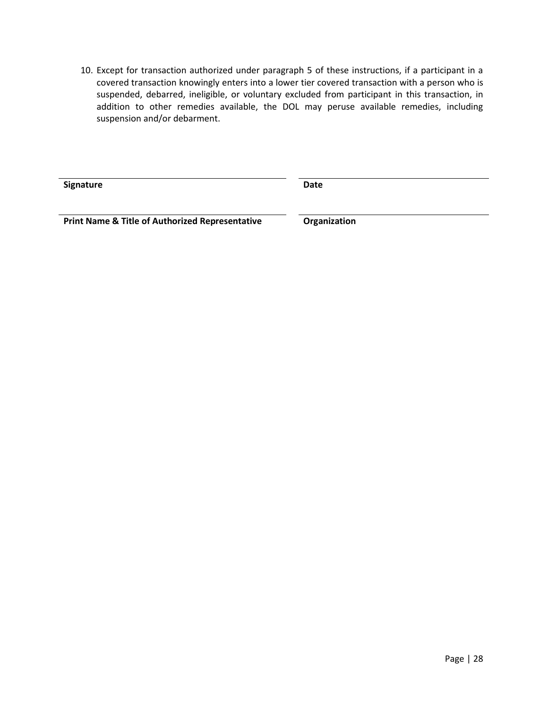10. Except for transaction authorized under paragraph 5 of these instructions, if a participant in a covered transaction knowingly enters into a lower tier covered transaction with a person who is suspended, debarred, ineligible, or voluntary excluded from participant in this transaction, in addition to other remedies available, the DOL may peruse available remedies, including suspension and/or debarment.

**Signature Date**

**Print Name & Title of Authorized Representative Construction**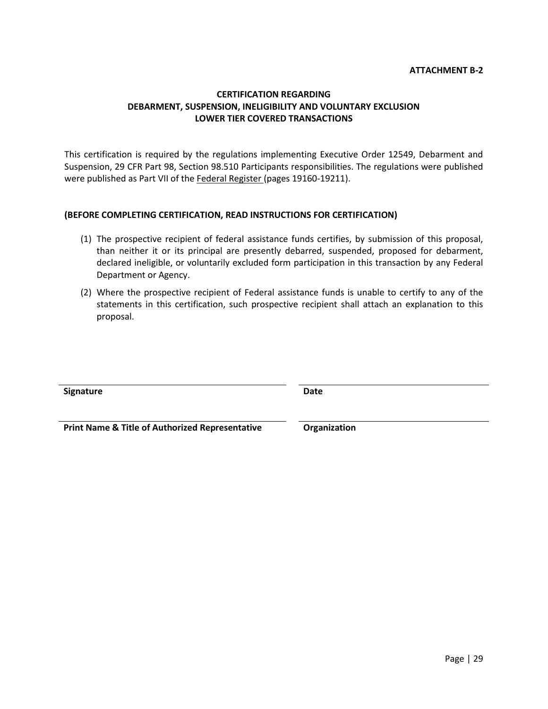## **ATTACHMENT B-2**

## **CERTIFICATION REGARDING DEBARMENT, SUSPENSION, INELIGIBILITY AND VOLUNTARY EXCLUSION LOWER TIER COVERED TRANSACTIONS**

This certification is required by the regulations implementing Executive Order 12549, Debarment and Suspension, 29 CFR Part 98, Section 98.510 Participants responsibilities. The regulations were published were published as Part VII of the Federal Register (pages 19160-19211).

## **(BEFORE COMPLETING CERTIFICATION, READ INSTRUCTIONS FOR CERTIFICATION)**

- (1) The prospective recipient of federal assistance funds certifies, by submission of this proposal, than neither it or its principal are presently debarred, suspended, proposed for debarment, declared ineligible, or voluntarily excluded form participation in this transaction by any Federal Department or Agency.
- (2) Where the prospective recipient of Federal assistance funds is unable to certify to any of the statements in this certification, such prospective recipient shall attach an explanation to this proposal.

**Signature Date**

**Print Name & Title of Authorized Representative Organization**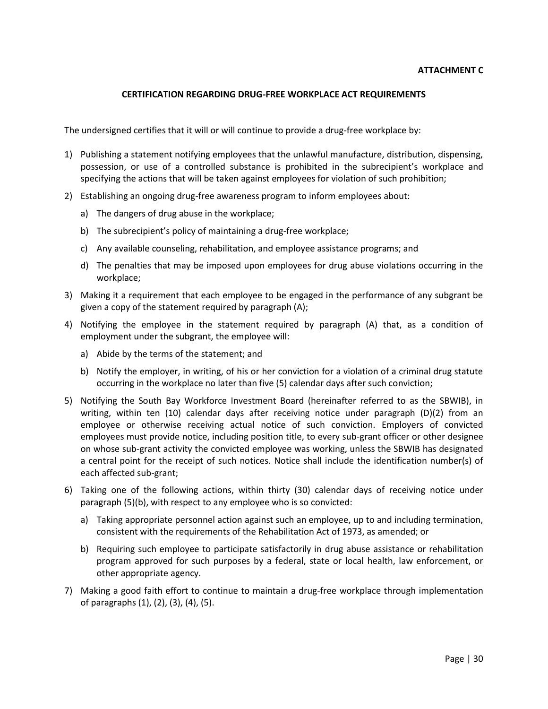## **CERTIFICATION REGARDING DRUG-FREE WORKPLACE ACT REQUIREMENTS**

The undersigned certifies that it will or will continue to provide a drug-free workplace by:

- 1) Publishing a statement notifying employees that the unlawful manufacture, distribution, dispensing, possession, or use of a controlled substance is prohibited in the subrecipient's workplace and specifying the actions that will be taken against employees for violation of such prohibition;
- 2) Establishing an ongoing drug-free awareness program to inform employees about:
	- a) The dangers of drug abuse in the workplace;
	- b) The subrecipient's policy of maintaining a drug-free workplace;
	- c) Any available counseling, rehabilitation, and employee assistance programs; and
	- d) The penalties that may be imposed upon employees for drug abuse violations occurring in the workplace;
- 3) Making it a requirement that each employee to be engaged in the performance of any subgrant be given a copy of the statement required by paragraph (A);
- 4) Notifying the employee in the statement required by paragraph (A) that, as a condition of employment under the subgrant, the employee will:
	- a) Abide by the terms of the statement; and
	- b) Notify the employer, in writing, of his or her conviction for a violation of a criminal drug statute occurring in the workplace no later than five (5) calendar days after such conviction;
- 5) Notifying the South Bay Workforce Investment Board (hereinafter referred to as the SBWIB), in writing, within ten (10) calendar days after receiving notice under paragraph (D)(2) from an employee or otherwise receiving actual notice of such conviction. Employers of convicted employees must provide notice, including position title, to every sub-grant officer or other designee on whose sub-grant activity the convicted employee was working, unless the SBWIB has designated a central point for the receipt of such notices. Notice shall include the identification number(s) of each affected sub-grant;
- 6) Taking one of the following actions, within thirty (30) calendar days of receiving notice under paragraph (5)(b), with respect to any employee who is so convicted:
	- a) Taking appropriate personnel action against such an employee, up to and including termination, consistent with the requirements of the Rehabilitation Act of 1973, as amended; or
	- b) Requiring such employee to participate satisfactorily in drug abuse assistance or rehabilitation program approved for such purposes by a federal, state or local health, law enforcement, or other appropriate agency.
- 7) Making a good faith effort to continue to maintain a drug-free workplace through implementation of paragraphs (1), (2), (3), (4), (5).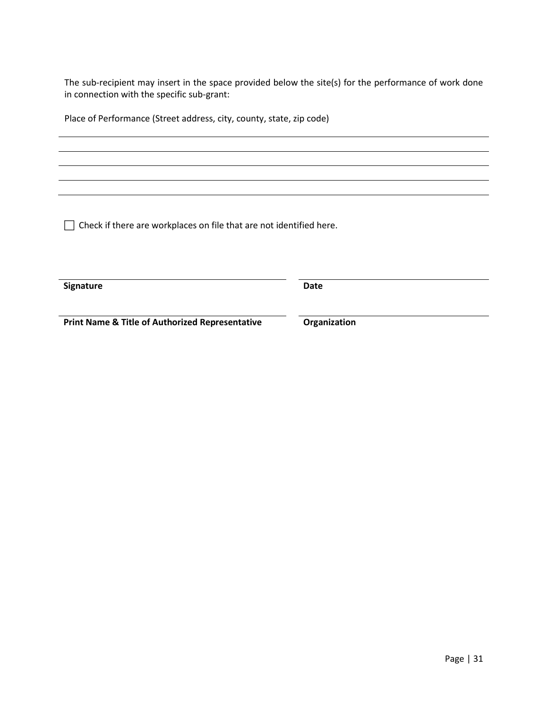The sub-recipient may insert in the space provided below the site(s) for the performance of work done in connection with the specific sub-grant:

Place of Performance (Street address, city, county, state, zip code)

 $\Box$  Check if there are workplaces on file that are not identified here.

**Signature Date**

**Print Name & Title of Authorized Representative <b>Construction**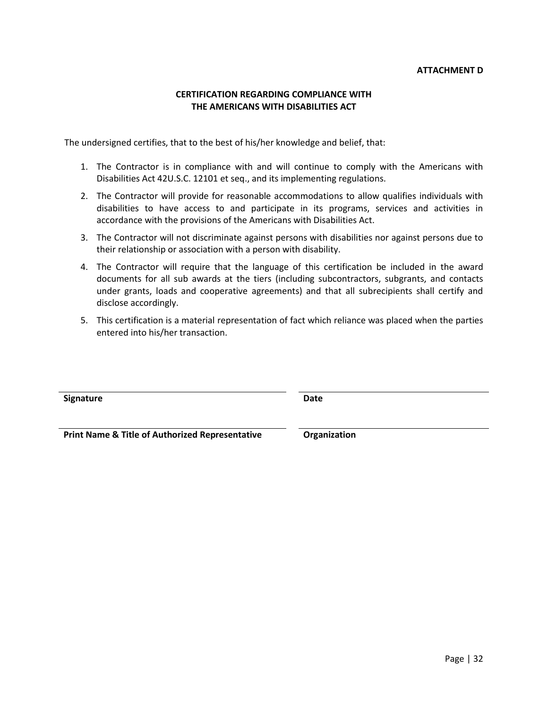## **CERTIFICATION REGARDING COMPLIANCE WITH THE AMERICANS WITH DISABILITIES ACT**

The undersigned certifies, that to the best of his/her knowledge and belief, that:

- 1. The Contractor is in compliance with and will continue to comply with the Americans with Disabilities Act 42U.S.C. 12101 et seq., and its implementing regulations.
- 2. The Contractor will provide for reasonable accommodations to allow qualifies individuals with disabilities to have access to and participate in its programs, services and activities in accordance with the provisions of the Americans with Disabilities Act.
- 3. The Contractor will not discriminate against persons with disabilities nor against persons due to their relationship or association with a person with disability.
- 4. The Contractor will require that the language of this certification be included in the award documents for all sub awards at the tiers (including subcontractors, subgrants, and contacts under grants, loads and cooperative agreements) and that all subrecipients shall certify and disclose accordingly.
- 5. This certification is a material representation of fact which reliance was placed when the parties entered into his/her transaction.

| Signature | Date |
|-----------|------|
|           |      |

**Print Name & Title of Authorized Representative <b>Construction**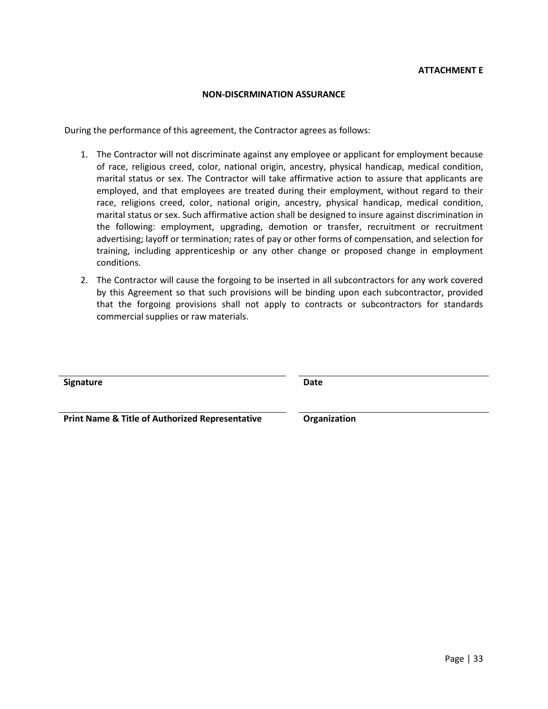## **ATTACHMENT E**

#### **NON-DISCRMINATION ASSURANCE**

During the performance of this agreement, the Contractor agrees as follows:

- 1. The Contractor will not discriminate against any employee or applicant for employment because of race, religious creed, color, national origin, ancestry, physical handicap, medical condition, marital status or sex. The Contractor will take affirmative action to assure that applicants are employed, and that employees are treated during their employment, without regard to their race, religions creed, color, national origin, ancestry, physical handicap, medical condition, marital status or sex. Such affirmative action shall be designed to insure against discrimination in the following: employment, upgrading, demotion or transfer, recruitment or recruitment advertising; layoff or termination; rates of pay or other forms of compensation, and selection for training, including apprenticeship or any other change or proposed change in employment conditions.
- 2. The Contractor will cause the forgoing to be inserted in all subcontractors for any work covered by this Agreement so that such provisions will be binding upon each subcontractor, provided that the forgoing provisions shall not apply to contracts or subcontractors for standards commercial supplies or raw materials.

| Signature                                                  | <b>Date</b>  |
|------------------------------------------------------------|--------------|
| <b>Print Name &amp; Title of Authorized Representative</b> | Organization |